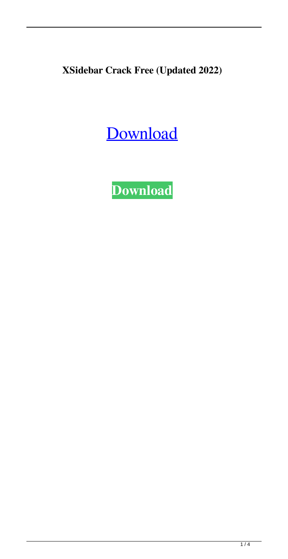**XSidebar Crack Free (Updated 2022)**

# [Download](http://evacdir.com/WFNpZGViYXIWFN/treos.zalaznick/brazen.distorting.ZG93bmxvYWR8NFBCTVdad2EzeDhNVFkxTkRVeU1qRXhNSHg4TWpVNU1IeDhLRTBwSUZkdmNtUndjbVZ6Y3lCYldFMU1VbEJESUZZeUlGQkVSbDA?motel=photophobia)

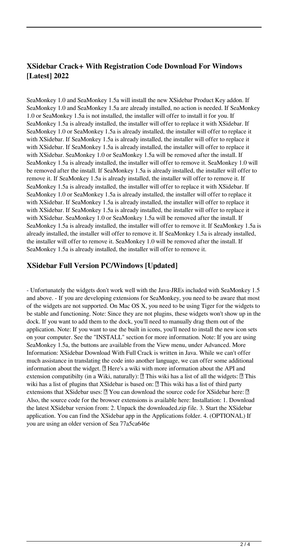## **XSidebar Crack+ With Registration Code Download For Windows [Latest] 2022**

SeaMonkey 1.0 and SeaMonkey 1.5a will install the new XSidebar Product Key addon. If SeaMonkey 1.0 and SeaMonkey 1.5a are already installed, no action is needed. If SeaMonkey 1.0 or SeaMonkey 1.5a is not installed, the installer will offer to install it for you. If SeaMonkey 1.5a is already installed, the installer will offer to replace it with XSidebar. If SeaMonkey 1.0 or SeaMonkey 1.5a is already installed, the installer will offer to replace it with XSidebar. If SeaMonkey 1.5a is already installed, the installer will offer to replace it with XSidebar. If SeaMonkey 1.5a is already installed, the installer will offer to replace it with XSidebar. SeaMonkey 1.0 or SeaMonkey 1.5a will be removed after the install. If SeaMonkey 1.5a is already installed, the installer will offer to remove it. SeaMonkey 1.0 will be removed after the install. If SeaMonkey 1.5a is already installed, the installer will offer to remove it. If SeaMonkey 1.5a is already installed, the installer will offer to remove it. If SeaMonkey 1.5a is already installed, the installer will offer to replace it with XSidebar. If SeaMonkey 1.0 or SeaMonkey 1.5a is already installed, the installer will offer to replace it with XSidebar. If SeaMonkey 1.5a is already installed, the installer will offer to replace it with XSidebar. If SeaMonkey 1.5a is already installed, the installer will offer to replace it with XSidebar. SeaMonkey 1.0 or SeaMonkey 1.5a will be removed after the install. If SeaMonkey 1.5a is already installed, the installer will offer to remove it. If SeaMonkey 1.5a is already installed, the installer will offer to remove it. If SeaMonkey 1.5a is already installed, the installer will offer to remove it. SeaMonkey 1.0 will be removed after the install. If SeaMonkey 1.5a is already installed, the installer will offer to remove it.

### **XSidebar Full Version PC/Windows [Updated]**

- Unfortunately the widgets don't work well with the Java-JREs included with SeaMonkey 1.5 and above. - If you are developing extensions for SeaMonkey, you need to be aware that most of the widgets are not supported. On Mac OS X, you need to be using Tiger for the widgets to be stable and functioning. Note: Since they are not plugins, these widgets won't show up in the dock. If you want to add them to the dock, you'll need to manually drag them out of the application. Note: If you want to use the built in icons, you'll need to install the new icon sets on your computer. See the "INSTALL" section for more information. Note: If you are using SeaMonkey 1.5a, the buttons are available from the View menu, under Advanced. More Information: XSidebar Download With Full Crack is written in Java. While we can't offer much assistance in translating the code into another language, we can offer some additional information about the widget.  $\mathbb{Z}$  Here's a wiki with more information about the API and extension compatibilty (in a Wiki, naturally):  $\mathbb{Z}$  This wiki has a list of all the widgets:  $\mathbb{Z}$  This wiki has a list of plugins that XSidebar is based on:  $\mathbb{Z}$  This wiki has a list of third party extensions that XSidebar uses:  $\mathbb{Z}$  You can download the source code for XSidebar here:  $\mathbb{Z}$ Also, the source code for the browser extensions is available here: Installation: 1. Download the latest XSidebar version from: 2. Unpack the downloaded.zip file. 3. Start the XSidebar application. You can find the XSidebar app in the Applications folder. 4. (OPTIONAL) If you are using an older version of Sea 77a5ca646e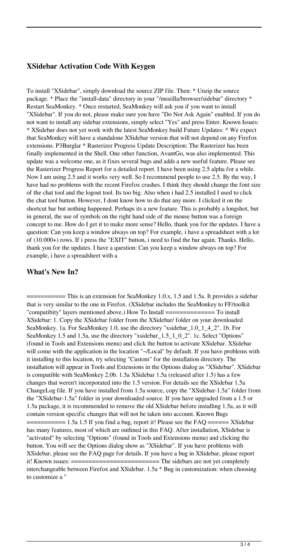#### **XSidebar Activation Code With Keygen**

To install "XSidebar", simply download the source ZIP file. Then: \* Unzip the source package. \* Place the "install-data" directory in your "/mozilla/browser/sidebar" directory \* Restart SeaMonkey. \* Once restarted, SeaMonkey will ask you if you want to install "XSidebar". If you do not, please make sure you have "Do Not Ask Again" enabled. If you do not want to install any sidebar extensions, simply select "Yes" and press Enter. Known Issues: \* XSidebar does not yet work with the latest SeaMonkey build Future Updates: \* We expect that SeaMonkey will have a standalone XSidebar version that will not depend on any Firefox extensions. P3Burglar \* Rasterizer Progress Update Description: The Rasterizer has been finally implemented in the Shell. One other function, AvantGo, was also implemented. This update was a welcome one, as it fixes several bugs and adds a new useful feature. Please see the Rasterizer Progress Report for a detailed report. I have been using 2.5 alpha for a while. Now I am using 2.5 and it works very well. So I recommend people to use 2.5. By the way, I have had no problems with the recent Firefox crashes. I think they should change the font size of the chat tool and the logout tool. Its too big. Also when i had 2.5 installed I used to click the chat tool button. However, I dont know how to do that any more. I clicked it on the shortcut bar but nothing happened. Perhaps its a new feature. This is probably a longshot, but in general, the use of symbols on the right hand side of the mouse button was a foreign concept to me. How do I get it to make more sense? Hello, thank you for the updates. I have a question: Can you keep a window always on top? For example, i have a spreadsheet with a lot of (10.000+) rows. If i press the "EXIT" button, i need to find the bar again. Thanks. Hello, thank you for the updates. I have a question: Can you keep a window always on top? For example, i have a spreadsheet with a

#### **What's New In?**

= This is an extension for SeaMonkey 1.0.x, 1.5 and 1.5a. It provides a sidebar that is very similar to the one in Firefox. (XSidebar includes the SeaMonkey to FF/toolkit "compatibity" layers mentioned above.) How To Install ============== To install XSidebar: 1. Copy the XSidebar folder from the XSidebar/ folder on your downloaded SeaMonkey. 1a. For SeaMonkey 1.0, use the directory "xsidebar\_1.0\_1\_4\_2". 1b. For SeaMonkey 1.5 and 1.5a, use the directory "xsidebar\_1.5\_1\_0\_2". 1c. Select "Options" (found in Tools and Extensions menu) and click the button to activate XSidebar. XSidebar will come with the application in the location "~/Local" by default. If you have problems with it installing to this location, try selecting "Custom" for the installation directory. The installation will appear in Tools and Extensions in the Options dialog as "XSidebar". XSidebar is compatible with SeaMonkey 2.0b. 1.5a XSidebar 1.5a (released after 1.5) has a few changes that weren't incorporated into the 1.5 version. For details see the XSidebar 1.5a ChangeLog file. If you have installed from 1.5a source, copy the "XSidebar-1.5a" folder from the "XSidebar-1.5a" folder in your downloaded source. If you have upgraded from a 1.5 or 1.5a package, it is recommended to remove the old XSidebar before installing 1.5a, as it will contain version specific changes that will not be taken into account. Known Bugs  $\epsilon$ =========== 1.5a 1.5 If you find a bug, report it! Please see the FAQ ======= XSidebar has many features, most of which are outlined in this FAQ. After installation, XSidebar is "activated" by selecting "Options" (found in Tools and Extensions menu) and clicking the button. You will see the Options dialog show as "XSidebar". If you have problems with XSidebar, please see the FAQ page for details. If you have a bug in XSidebar, please report it! Known issues: ========================= The sidebars are not yet completely interchangeable between Firefox and XSidebar. 1.5a \* Bug in customization: when choosing to customize a "